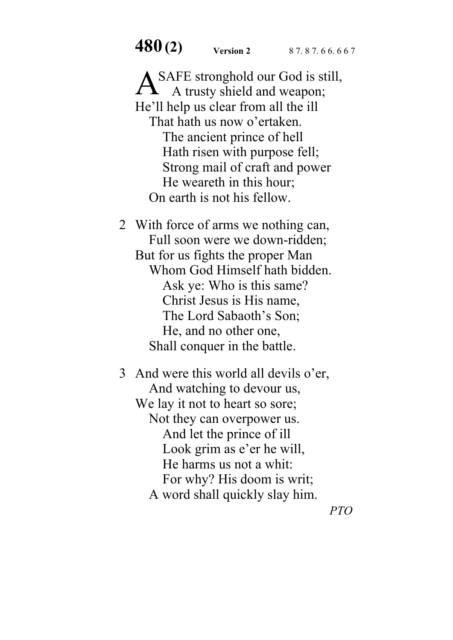**480 (2) Version 2** 8 7. 8 7. 6 6. 6 6 7

A SAFE stronghold our God is still,<br>A trusty shield and weapon; A trusty shield and weapon; He'll help us clear from all the ill That hath us now o'ertaken. The ancient prince of hell Hath risen with purpose fell; Strong mail of craft and power He weareth in this hour; On earth is not his fellow.

2 With force of arms we nothing can, Full soon were we down-ridden; But for us fights the proper Man Whom God Himself hath bidden. Ask ye: Who is this same? Christ Jesus is His name, The Lord Sabaoth's Son; He, and no other one, Shall conquer in the battle.

3 And were this world all devils o'er, And watching to devour us, We lay it not to heart so sore; Not they can overpower us. And let the prince of ill Look grim as e'er he will, He harms us not a whit: For why? His doom is writ; A word shall quickly slay him.

*PTO*